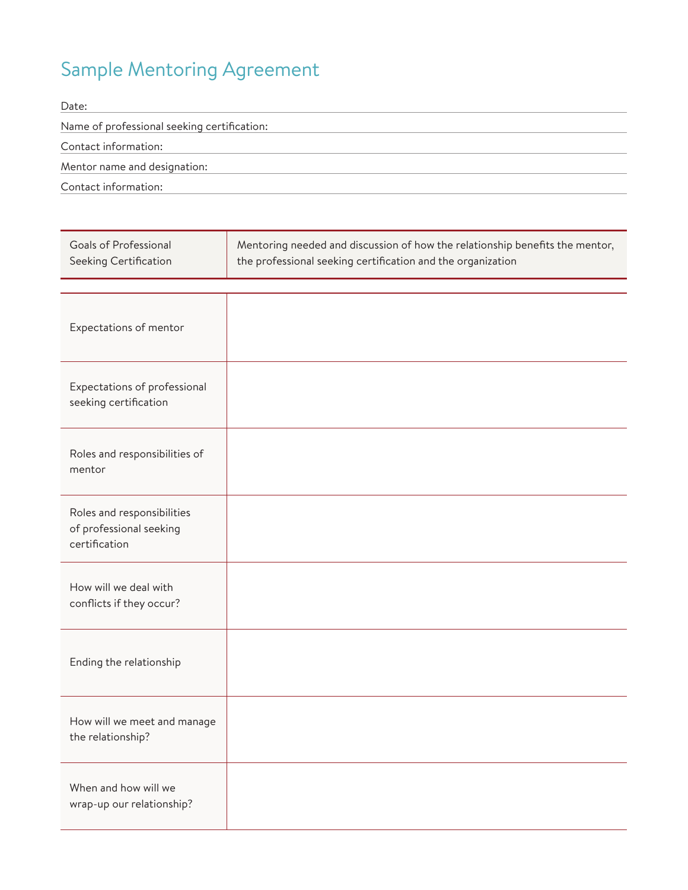## Sample Mentoring Agreement

| Date:                                       |
|---------------------------------------------|
| Name of professional seeking certification: |
| Contact information:                        |
| Mentor name and designation:                |
| Contact information:                        |

| Goals of Professional<br>Seeking Certification                         | Mentoring needed and discussion of how the relationship benefits the mentor,<br>the professional seeking certification and the organization |  |
|------------------------------------------------------------------------|---------------------------------------------------------------------------------------------------------------------------------------------|--|
|                                                                        |                                                                                                                                             |  |
| Expectations of mentor                                                 |                                                                                                                                             |  |
| Expectations of professional<br>seeking certification                  |                                                                                                                                             |  |
| Roles and responsibilities of<br>mentor                                |                                                                                                                                             |  |
| Roles and responsibilities<br>of professional seeking<br>certification |                                                                                                                                             |  |
| How will we deal with<br>conflicts if they occur?                      |                                                                                                                                             |  |
| Ending the relationship                                                |                                                                                                                                             |  |
| How will we meet and manage<br>the relationship?                       |                                                                                                                                             |  |
| When and how will we<br>wrap-up our relationship?                      |                                                                                                                                             |  |